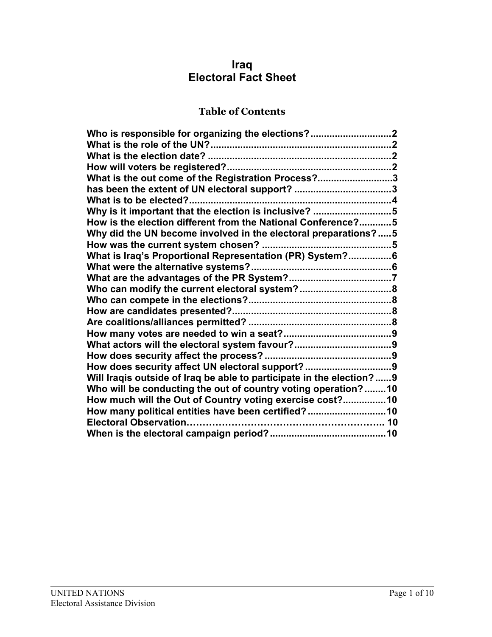# **Iraq Electoral Fact Sheet**

# **Table of Contents**

| Who is responsible for organizing the elections?2                    |  |
|----------------------------------------------------------------------|--|
|                                                                      |  |
|                                                                      |  |
|                                                                      |  |
| What is the out come of the Registration Process?3                   |  |
| has been the extent of UN electoral support? 3                       |  |
|                                                                      |  |
| Why is it important that the election is inclusive? 5                |  |
| How is the election different from the National Conference?5         |  |
| Why did the UN become involved in the electoral preparations?5       |  |
|                                                                      |  |
| What is Iraq's Proportional Representation (PR) System?6             |  |
|                                                                      |  |
|                                                                      |  |
|                                                                      |  |
|                                                                      |  |
|                                                                      |  |
|                                                                      |  |
|                                                                      |  |
|                                                                      |  |
|                                                                      |  |
| How does security affect UN electoral support? 9                     |  |
| Will Iraqis outside of Iraq be able to participate in the election?9 |  |
| Who will be conducting the out of country voting operation?10        |  |
| How much will the Out of Country voting exercise cost? 10            |  |
| How many political entities have been certified?10                   |  |
|                                                                      |  |
|                                                                      |  |
|                                                                      |  |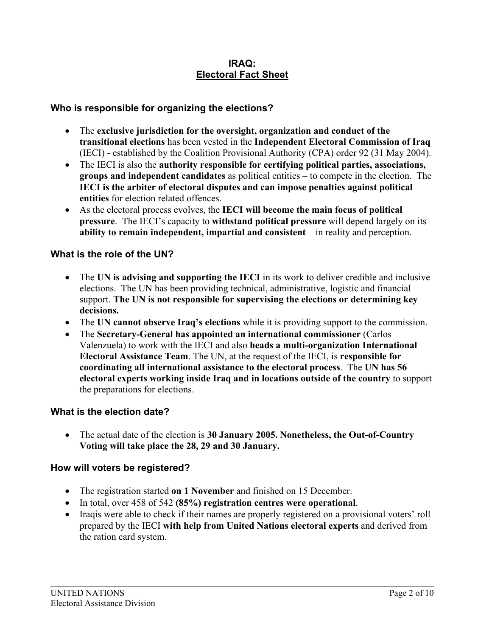#### **IRAQ: Electoral Fact Sheet**

#### **Who is responsible for organizing the elections?**

- The **exclusive jurisdiction for the oversight, organization and conduct of the transitional elections** has been vested in the **Independent Electoral Commission of Iraq** (IECI) - established by the Coalition Provisional Authority (CPA) order 92 (31 May 2004).
- The IECI is also the **authority responsible for certifying political parties, associations, groups and independent candidates** as political entities – to compete in the election. The **IECI is the arbiter of electoral disputes and can impose penalties against political entities** for election related offences.
- As the electoral process evolves, the **IECI will become the main focus of political pressure**. The IECI's capacity to **withstand political pressure** will depend largely on its **ability to remain independent, impartial and consistent** – in reality and perception.

#### **What is the role of the UN?**

- The UN is advising and supporting the IECI in its work to deliver credible and inclusive elections. The UN has been providing technical, administrative, logistic and financial support. **The UN is not responsible for supervising the elections or determining key decisions.**
- The **UN cannot observe Iraq's elections** while it is providing support to the commission.
- The **Secretary-General has appointed an international commissioner** (Carlos Valenzuela) to work with the IECI and also **heads a multi-organization International Electoral Assistance Team**. The UN, at the request of the IECI, is **responsible for coordinating all international assistance to the electoral process**. The **UN has 56 electoral experts working inside Iraq and in locations outside of the country** to support the preparations for elections.

#### **What is the election date?**

• The actual date of the election is **30 January 2005. Nonetheless, the Out-of-Country Voting will take place the 28, 29 and 30 January.**

#### **How will voters be registered?**

- The registration started **on 1 November** and finished on 15 December.
- In total, over 458 of 542 **(85%) registration centres were operational**.
- Iraqis were able to check if their names are properly registered on a provisional voters' roll prepared by the IECI **with help from United Nations electoral experts** and derived from the ration card system.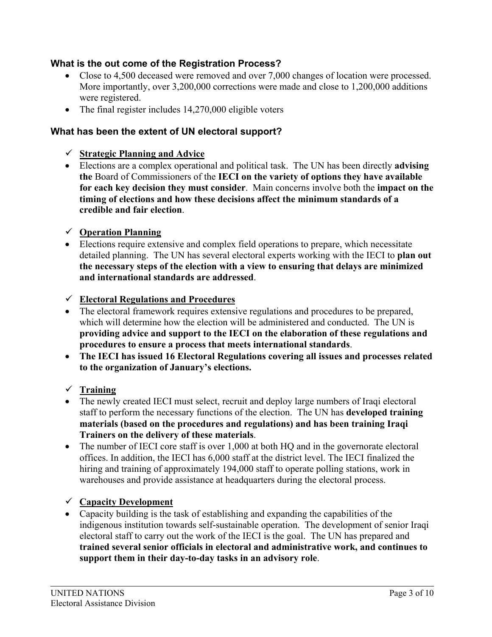## **What is the out come of the Registration Process?**

- Close to 4,500 deceased were removed and over 7,000 changes of location were processed. More importantly, over 3,200,000 corrections were made and close to 1,200,000 additions were registered.
- The final register includes 14,270,000 eligible voters

## **What has been the extent of UN electoral support?**

- 9 **Strategic Planning and Advice**
- Elections are a complex operational and political task. The UN has been directly **advising the** Board of Commissioners of the **IECI on the variety of options they have available for each key decision they must consider**. Main concerns involve both the **impact on the timing of elections and how these decisions affect the minimum standards of a credible and fair election**.
- 9 **Operation Planning**
- Elections require extensive and complex field operations to prepare, which necessitate detailed planning. The UN has several electoral experts working with the IECI to **plan out the necessary steps of the election with a view to ensuring that delays are minimized and international standards are addressed**.
- 9 **Electoral Regulations and Procedures**
- The electoral framework requires extensive regulations and procedures to be prepared, which will determine how the election will be administered and conducted. The UN is **providing advice and support to the IECI on the elaboration of these regulations and procedures to ensure a process that meets international standards**.
- **The IECI has issued 16 Electoral Regulations covering all issues and processes related to the organization of January's elections.**
- 9 **Training**
- The newly created IECI must select, recruit and deploy large numbers of Iraqi electoral staff to perform the necessary functions of the election. The UN has **developed training materials (based on the procedures and regulations) and has been training Iraqi Trainers on the delivery of these materials**.
- The number of IECI core staff is over 1,000 at both HQ and in the governorate electoral offices. In addition, the IECI has 6,000 staff at the district level. The IECI finalized the hiring and training of approximately 194,000 staff to operate polling stations, work in warehouses and provide assistance at headquarters during the electoral process.

## 9 **Capacity Development**

• Capacity building is the task of establishing and expanding the capabilities of the indigenous institution towards self-sustainable operation. The development of senior Iraqi electoral staff to carry out the work of the IECI is the goal. The UN has prepared and **trained several senior officials in electoral and administrative work, and continues to support them in their day-to-day tasks in an advisory role**.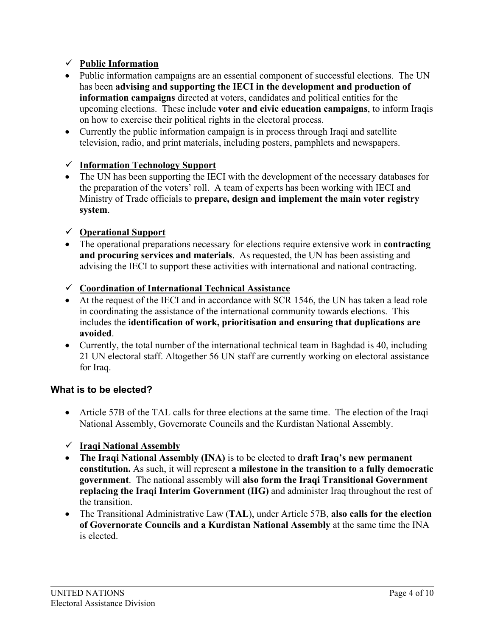## 9 **Public Information**

- Public information campaigns are an essential component of successful elections. The UN has been **advising and supporting the IECI in the development and production of information campaigns** directed at voters, candidates and political entities for the upcoming elections. These include **voter and civic education campaigns**, to inform Iraqis on how to exercise their political rights in the electoral process.
- Currently the public information campaign is in process through Iraqi and satellite television, radio, and print materials, including posters, pamphlets and newspapers.

## 9 **Information Technology Support**

• The UN has been supporting the IECI with the development of the necessary databases for the preparation of the voters' roll. A team of experts has been working with IECI and Ministry of Trade officials to **prepare, design and implement the main voter registry system**.

## 9 **Operational Support**

- The operational preparations necessary for elections require extensive work in **contracting and procuring services and materials**. As requested, the UN has been assisting and advising the IECI to support these activities with international and national contracting.
- 9 **Coordination of International Technical Assistance**
- At the request of the IECI and in accordance with SCR 1546, the UN has taken a lead role in coordinating the assistance of the international community towards elections. This includes the **identification of work, prioritisation and ensuring that duplications are avoided**.
- Currently, the total number of the international technical team in Baghdad is 40, including 21 UN electoral staff. Altogether 56 UN staff are currently working on electoral assistance for Iraq.

## **What is to be elected?**

- Article 57B of the TAL calls for three elections at the same time. The election of the Iraqi National Assembly, Governorate Councils and the Kurdistan National Assembly.
- 9 **Iraqi National Assembly**
- **The Iraqi National Assembly (INA)** is to be elected to **draft Iraq's new permanent constitution.** As such, it will represent **a milestone in the transition to a fully democratic government**. The national assembly will **also form the Iraqi Transitional Government replacing the Iraqi Interim Government (IIG)** and administer Iraq throughout the rest of the transition.
- The Transitional Administrative Law (**TAL**), under Article 57B, **also calls for the election of Governorate Councils and a Kurdistan National Assembly** at the same time the INA is elected.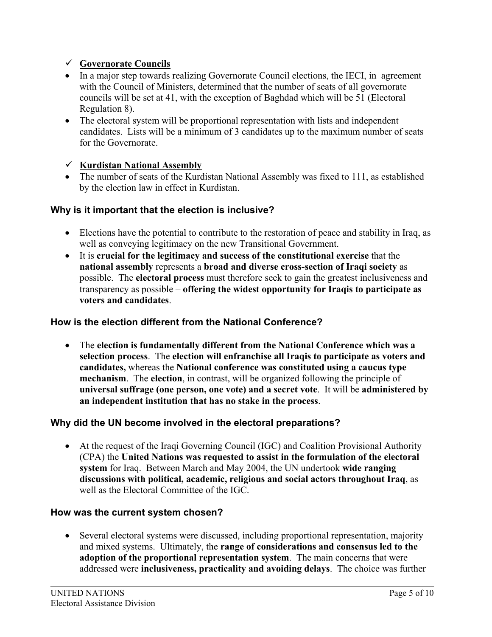## 9 **Governorate Councils**

- In a major step towards realizing Governorate Council elections, the IECI, in agreement with the Council of Ministers, determined that the number of seats of all governorate councils will be set at 41, with the exception of Baghdad which will be 51 (Electoral Regulation 8).
- The electoral system will be proportional representation with lists and independent candidates. Lists will be a minimum of 3 candidates up to the maximum number of seats for the Governorate.

## 9 **Kurdistan National Assembly**

• The number of seats of the Kurdistan National Assembly was fixed to 111, as established by the election law in effect in Kurdistan.

# **Why is it important that the election is inclusive?**

- Elections have the potential to contribute to the restoration of peace and stability in Iraq, as well as conveying legitimacy on the new Transitional Government.
- It is **crucial for the legitimacy and success of the constitutional exercise** that the **national assembly** represents a **broad and diverse cross-section of Iraqi society** as possible. The **electoral process** must therefore seek to gain the greatest inclusiveness and transparency as possible – **offering the widest opportunity for Iraqis to participate as voters and candidates**.

## **How is the election different from the National Conference?**

• The **election is fundamentally different from the National Conference which was a selection process**. The **election will enfranchise all Iraqis to participate as voters and candidates,** whereas the **National conference was constituted using a caucus type mechanism**. The **election**, in contrast, will be organized following the principle of **universal suffrage (one person, one vote) and a secret vote**. It will be **administered by an independent institution that has no stake in the process**.

# **Why did the UN become involved in the electoral preparations?**

• At the request of the Iraqi Governing Council (IGC) and Coalition Provisional Authority (CPA) the **United Nations was requested to assist in the formulation of the electoral system** for Iraq. Between March and May 2004, the UN undertook **wide ranging discussions with political, academic, religious and social actors throughout Iraq**, as well as the Electoral Committee of the IGC.

## **How was the current system chosen?**

• Several electoral systems were discussed, including proportional representation, majority and mixed systems. Ultimately, the **range of considerations and consensus led to the adoption of the proportional representation system**. The main concerns that were addressed were **inclusiveness, practicality and avoiding delays**. The choice was further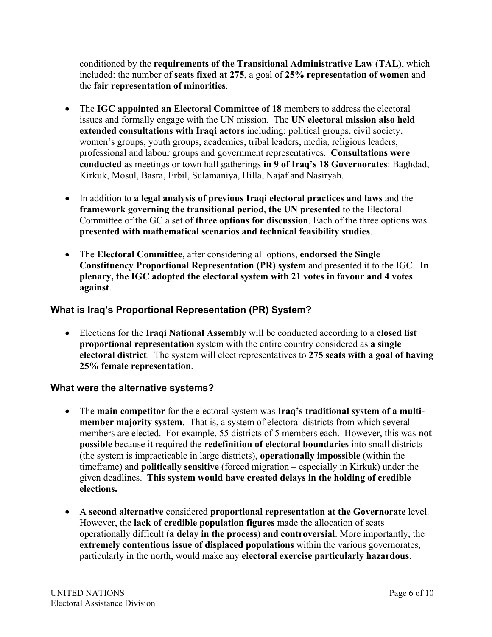conditioned by the **requirements of the Transitional Administrative Law (TAL)**, which included: the number of **seats fixed at 275**, a goal of **25% representation of women** and the **fair representation of minorities**.

- The **IGC appointed an Electoral Committee of 18** members to address the electoral issues and formally engage with the UN mission. The **UN electoral mission also held extended consultations with Iraqi actors** including: political groups, civil society, women's groups, youth groups, academics, tribal leaders, media, religious leaders, professional and labour groups and government representatives. **Consultations were conducted** as meetings or town hall gatherings **in 9 of Iraq's 18 Governorates**: Baghdad, Kirkuk, Mosul, Basra, Erbil, Sulamaniya, Hilla, Najaf and Nasiryah.
- In addition to **a legal analysis of previous Iraqi electoral practices and laws** and the **framework governing the transitional period**, **the UN presented** to the Electoral Committee of the GC a set of **three options for discussion**. Each of the three options was **presented with mathematical scenarios and technical feasibility studies**.
- The **Electoral Committee**, after considering all options, **endorsed the Single Constituency Proportional Representation (PR) system** and presented it to the IGC. **In plenary, the IGC adopted the electoral system with 21 votes in favour and 4 votes against**.

# **What is Iraq's Proportional Representation (PR) System?**

• Elections for the **Iraqi National Assembly** will be conducted according to a **closed list proportional representation** system with the entire country considered as **a single electoral district**. The system will elect representatives to **275 seats with a goal of having 25% female representation**.

# **What were the alternative systems?**

- The **main competitor** for the electoral system was **Iraq's traditional system of a multimember majority system**. That is, a system of electoral districts from which several members are elected. For example, 55 districts of 5 members each. However, this was **not possible** because it required the **redefinition of electoral boundaries** into small districts (the system is impracticable in large districts), **operationally impossible** (within the timeframe) and **politically sensitive** (forced migration – especially in Kirkuk) under the given deadlines. **This system would have created delays in the holding of credible elections.**
- A **second alternative** considered **proportional representation at the Governorate** level. However, the **lack of credible population figures** made the allocation of seats operationally difficult (**a delay in the process**) **and controversial**. More importantly, the **extremely contentious issue of displaced populations** within the various governorates, particularly in the north, would make any **electoral exercise particularly hazardous**.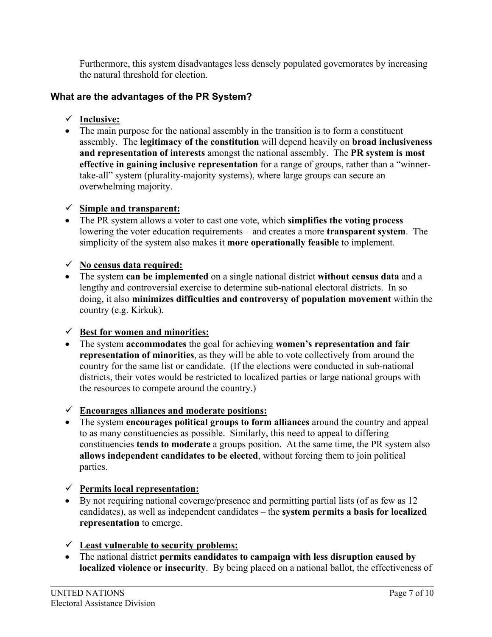Furthermore, this system disadvantages less densely populated governorates by increasing the natural threshold for election.

## **What are the advantages of the PR System?**

- 9 **Inclusive:**
- The main purpose for the national assembly in the transition is to form a constituent assembly. The **legitimacy of the constitution** will depend heavily on **broad inclusiveness and representation of interests** amongst the national assembly. The **PR system is most effective in gaining inclusive representation** for a range of groups, rather than a "winnertake-all" system (plurality-majority systems), where large groups can secure an overwhelming majority.

#### 9 **Simple and transparent:**

• The PR system allows a voter to cast one vote, which **simplifies the voting process** – lowering the voter education requirements – and creates a more **transparent system**. The simplicity of the system also makes it **more operationally feasible** to implement.

#### 9 **No census data required:**

• The system **can be implemented** on a single national district **without census data** and a lengthy and controversial exercise to determine sub-national electoral districts. In so doing, it also **minimizes difficulties and controversy of population movement** within the country (e.g. Kirkuk).

## $\checkmark$  Best for women and minorities:

• The system **accommodates** the goal for achieving **women's representation and fair representation of minorities**, as they will be able to vote collectively from around the country for the same list or candidate. (If the elections were conducted in sub-national districts, their votes would be restricted to localized parties or large national groups with the resources to compete around the country.)

## 9 **Encourages alliances and moderate positions:**

• The system **encourages political groups to form alliances** around the country and appeal to as many constituencies as possible. Similarly, this need to appeal to differing constituencies **tends to moderate** a groups position. At the same time, the PR system also **allows independent candidates to be elected**, without forcing them to join political parties.

## 9 **Permits local representation:**

- By not requiring national coverage/presence and permitting partial lists (of as few as 12 candidates), as well as independent candidates – the **system permits a basis for localized representation** to emerge.
- 9 **Least vulnerable to security problems:**
- The national district **permits candidates to campaign with less disruption caused by localized violence or insecurity**. By being placed on a national ballot, the effectiveness of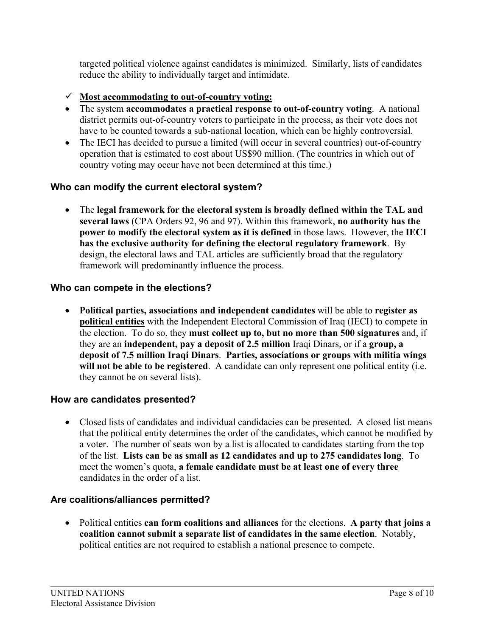targeted political violence against candidates is minimized. Similarly, lists of candidates reduce the ability to individually target and intimidate.

- 9 **Most accommodating to out-of-country voting:**
- The system **accommodates a practical response to out-of-country voting**. A national district permits out-of-country voters to participate in the process, as their vote does not have to be counted towards a sub-national location, which can be highly controversial.
- The IECI has decided to pursue a limited (will occur in several countries) out-of-country operation that is estimated to cost about US\$90 million. (The countries in which out of country voting may occur have not been determined at this time.)

# **Who can modify the current electoral system?**

• The **legal framework for the electoral system is broadly defined within the TAL and several laws** (CPA Orders 92, 96 and 97). Within this framework, **no authority has the power to modify the electoral system as it is defined** in those laws. However, the **IECI has the exclusive authority for defining the electoral regulatory framework**. By design, the electoral laws and TAL articles are sufficiently broad that the regulatory framework will predominantly influence the process.

# **Who can compete in the elections?**

• **Political parties, associations and independent candidates** will be able to **register as political entities** with the Independent Electoral Commission of Iraq (IECI) to compete in the election. To do so, they **must collect up to, but no more than 500 signatures** and, if they are an **independent, pay a deposit of 2.5 million** Iraqi Dinars, or if a **group, a deposit of 7.5 million Iraqi Dinars**. **Parties, associations or groups with militia wings**  will not be able to be registered. A candidate can only represent one political entity (i.e. they cannot be on several lists).

# **How are candidates presented?**

• Closed lists of candidates and individual candidacies can be presented. A closed list means that the political entity determines the order of the candidates, which cannot be modified by a voter. The number of seats won by a list is allocated to candidates starting from the top of the list. **Lists can be as small as 12 candidates and up to 275 candidates long**. To meet the women's quota, **a female candidate must be at least one of every three** candidates in the order of a list.

# **Are coalitions/alliances permitted?**

• Political entities **can form coalitions and alliances** for the elections. **A party that joins a coalition cannot submit a separate list of candidates in the same election**. Notably, political entities are not required to establish a national presence to compete.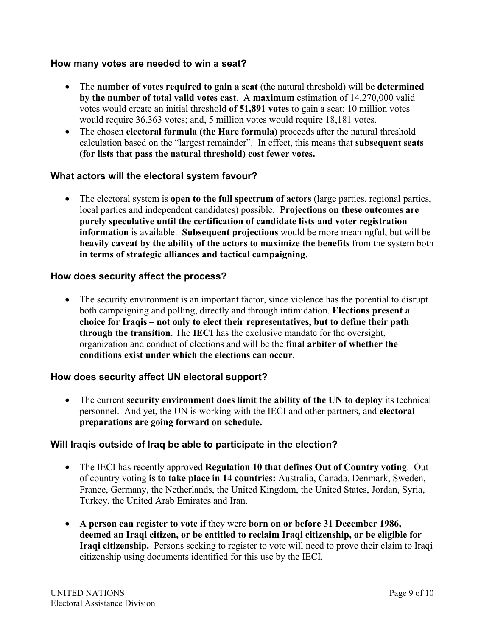#### **How many votes are needed to win a seat?**

- The **number of votes required to gain a seat** (the natural threshold) will be **determined by the number of total valid votes cast**. A **maximum** estimation of 14,270,000 valid votes would create an initial threshold **of 51,891 votes** to gain a seat; 10 million votes would require 36,363 votes; and, 5 million votes would require 18,181 votes.
- The chosen **electoral formula (the Hare formula)** proceeds after the natural threshold calculation based on the "largest remainder". In effect, this means that **subsequent seats (for lists that pass the natural threshold) cost fewer votes.**

#### **What actors will the electoral system favour?**

• The electoral system is **open to the full spectrum of actors** (large parties, regional parties, local parties and independent candidates) possible. **Projections on these outcomes are purely speculative until the certification of candidate lists and voter registration information** is available. **Subsequent projections** would be more meaningful, but will be **heavily caveat by the ability of the actors to maximize the benefits** from the system both **in terms of strategic alliances and tactical campaigning**.

#### **How does security affect the process?**

• The security environment is an important factor, since violence has the potential to disrupt both campaigning and polling, directly and through intimidation. **Elections present a choice for Iraqis – not only to elect their representatives, but to define their path through the transition**. The **IECI** has the exclusive mandate for the oversight, organization and conduct of elections and will be the **final arbiter of whether the conditions exist under which the elections can occur**.

#### **How does security affect UN electoral support?**

• The current **security environment does limit the ability of the UN to deploy** its technical personnel. And yet, the UN is working with the IECI and other partners, and **electoral preparations are going forward on schedule.**

#### **Will Iraqis outside of Iraq be able to participate in the election?**

- The IECI has recently approved **Regulation 10 that defines Out of Country voting**. Out of country voting **is to take place in 14 countries:** Australia, Canada, Denmark, Sweden, France, Germany, the Netherlands, the United Kingdom, the United States, Jordan, Syria, Turkey, the United Arab Emirates and Iran.
- **A person can register to vote if** they were **born on or before 31 December 1986, deemed an Iraqi citizen, or be entitled to reclaim Iraqi citizenship, or be eligible for Iraqi citizenship.** Persons seeking to register to vote will need to prove their claim to Iraqi citizenship using documents identified for this use by the IECI.